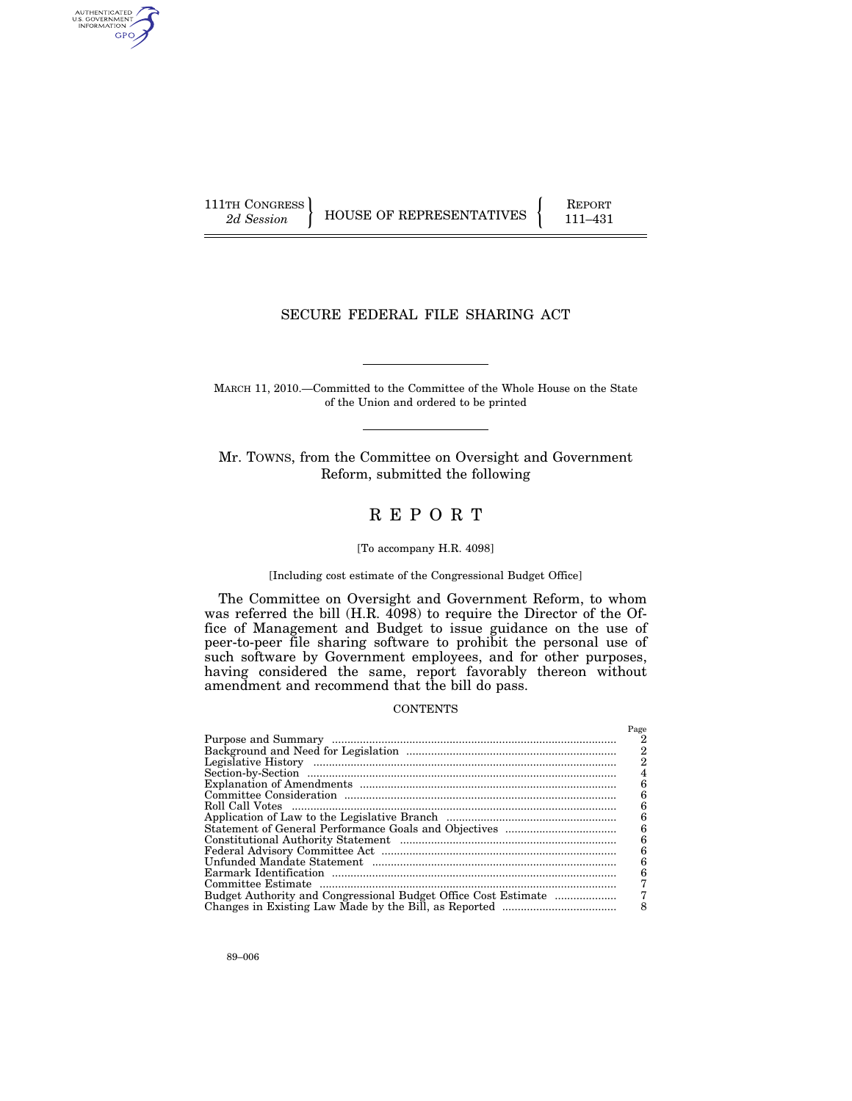AUTHENTICATED<br>U.S. GOVERNMENT<br>INFORMATION GPO

111TH CONGRESS HOUSE OF REPRESENTATIVES FEPORT 111-431

## SECURE FEDERAL FILE SHARING ACT

MARCH 11, 2010.—Committed to the Committee of the Whole House on the State of the Union and ordered to be printed

Mr. TOWNS, from the Committee on Oversight and Government Reform, submitted the following

# R E P O R T

## [To accompany H.R. 4098]

#### [Including cost estimate of the Congressional Budget Office]

The Committee on Oversight and Government Reform, to whom was referred the bill (H.R. 4098) to require the Director of the Office of Management and Budget to issue guidance on the use of peer-to-peer file sharing software to prohibit the personal use of such software by Government employees, and for other purposes, having considered the same, report favorably thereon without amendment and recommend that the bill do pass.

## **CONTENTS**

| Page |
|------|
|      |
| 2    |
| 2    |
|      |
| 6    |
| 6    |
| 6    |
| 6    |
| 6    |
| 6    |
| 6    |
| 6    |
| 6    |
|      |
|      |
| 8    |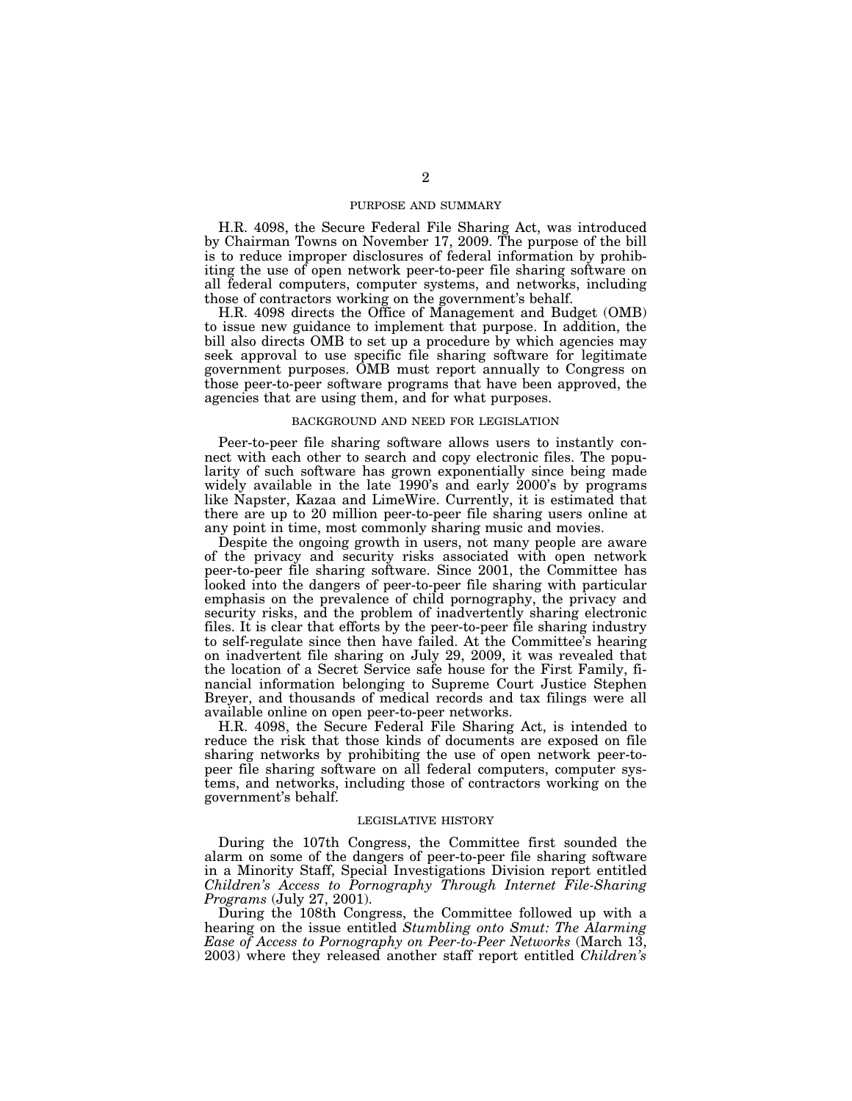## PURPOSE AND SUMMARY

H.R. 4098, the Secure Federal File Sharing Act, was introduced by Chairman Towns on November 17, 2009. The purpose of the bill is to reduce improper disclosures of federal information by prohibiting the use of open network peer-to-peer file sharing software on all federal computers, computer systems, and networks, including those of contractors working on the government's behalf.

H.R. 4098 directs the Office of Management and Budget (OMB) to issue new guidance to implement that purpose. In addition, the bill also directs OMB to set up a procedure by which agencies may seek approval to use specific file sharing software for legitimate government purposes. OMB must report annually to Congress on those peer-to-peer software programs that have been approved, the agencies that are using them, and for what purposes.

#### BACKGROUND AND NEED FOR LEGISLATION

Peer-to-peer file sharing software allows users to instantly connect with each other to search and copy electronic files. The popularity of such software has grown exponentially since being made widely available in the late 1990's and early 2000's by programs like Napster, Kazaa and LimeWire. Currently, it is estimated that there are up to 20 million peer-to-peer file sharing users online at any point in time, most commonly sharing music and movies.

Despite the ongoing growth in users, not many people are aware of the privacy and security risks associated with open network peer-to-peer file sharing software. Since 2001, the Committee has looked into the dangers of peer-to-peer file sharing with particular emphasis on the prevalence of child pornography, the privacy and security risks, and the problem of inadvertently sharing electronic files. It is clear that efforts by the peer-to-peer file sharing industry to self-regulate since then have failed. At the Committee's hearing on inadvertent file sharing on July 29, 2009, it was revealed that the location of a Secret Service safe house for the First Family, financial information belonging to Supreme Court Justice Stephen Breyer, and thousands of medical records and tax filings were all available online on open peer-to-peer networks.

H.R. 4098, the Secure Federal File Sharing Act, is intended to reduce the risk that those kinds of documents are exposed on file sharing networks by prohibiting the use of open network peer-topeer file sharing software on all federal computers, computer systems, and networks, including those of contractors working on the government's behalf.

## LEGISLATIVE HISTORY

During the 107th Congress, the Committee first sounded the alarm on some of the dangers of peer-to-peer file sharing software in a Minority Staff, Special Investigations Division report entitled *Children's Access to Pornography Through Internet File-Sharing Programs* (July 27, 2001).

During the 108th Congress, the Committee followed up with a hearing on the issue entitled *Stumbling onto Smut: The Alarming Ease of Access to Pornography on Peer-to-Peer Networks* (March 13, 2003) where they released another staff report entitled *Children's*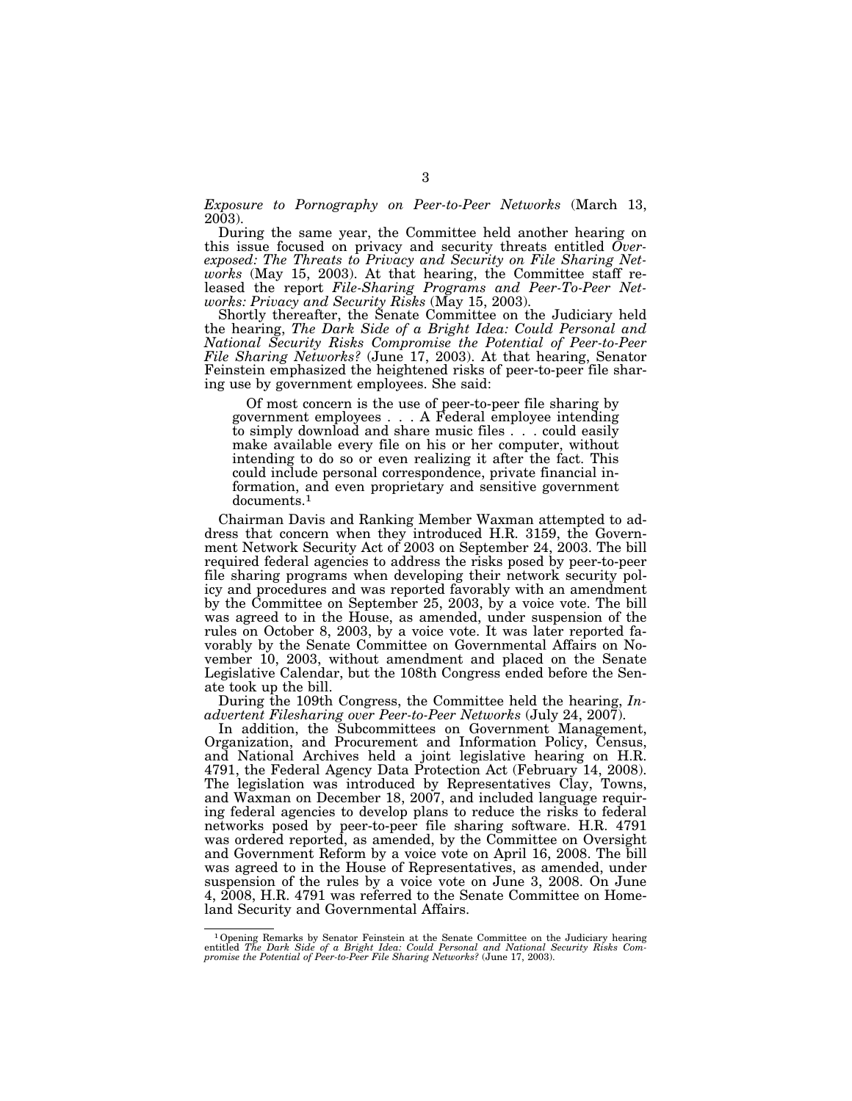*Exposure to Pornography on Peer-to-Peer Networks* (March 13, 2003).

During the same year, the Committee held another hearing on this issue focused on privacy and security threats entitled *Overexposed: The Threats to Privacy and Security on File Sharing Networks* (May 15, 2003). At that hearing, the Committee staff released the report *File-Sharing Programs and Peer-To-Peer Networks: Privacy and Security Risks* (May 15, 2003).

Shortly thereafter, the Senate Committee on the Judiciary held the hearing, *The Dark Side of a Bright Idea: Could Personal and National Security Risks Compromise the Potential of Peer-to-Peer File Sharing Networks?* (June 17, 2003). At that hearing, Senator Feinstein emphasized the heightened risks of peer-to-peer file sharing use by government employees. She said:

Of most concern is the use of peer-to-peer file sharing by government employees . . . A Federal employee intending to simply download and share music files . . . could easily make available every file on his or her computer, without intending to do so or even realizing it after the fact. This could include personal correspondence, private financial information, and even proprietary and sensitive government documents.1

Chairman Davis and Ranking Member Waxman attempted to address that concern when they introduced H.R. 3159, the Government Network Security Act of 2003 on September 24, 2003. The bill required federal agencies to address the risks posed by peer-to-peer file sharing programs when developing their network security policy and procedures and was reported favorably with an amendment by the Committee on September 25, 2003, by a voice vote. The bill was agreed to in the House, as amended, under suspension of the rules on October 8, 2003, by a voice vote. It was later reported favorably by the Senate Committee on Governmental Affairs on November 10, 2003, without amendment and placed on the Senate Legislative Calendar, but the 108th Congress ended before the Senate took up the bill.

During the 109th Congress, the Committee held the hearing, *Inadvertent Filesharing over Peer-to-Peer Networks* (July 24, 2007).

In addition, the Subcommittees on Government Management, Organization, and Procurement and Information Policy, Census, and National Archives held a joint legislative hearing on H.R. 4791, the Federal Agency Data Protection Act (February 14, 2008). The legislation was introduced by Representatives Clay, Towns, and Waxman on December 18, 2007, and included language requiring federal agencies to develop plans to reduce the risks to federal networks posed by peer-to-peer file sharing software. H.R. 4791 was ordered reported, as amended, by the Committee on Oversight and Government Reform by a voice vote on April 16, 2008. The bill was agreed to in the House of Representatives, as amended, under suspension of the rules by a voice vote on June 3, 2008. On June 4, 2008, H.R. 4791 was referred to the Senate Committee on Homeland Security and Governmental Affairs.

<sup>&</sup>lt;sup>1</sup> Opening Remarks by Senator Feinstein at the Senate Committee on the Judiciary hearing entitled *The Dark Side of a Bright Idea: Could Personal and National Security Risks Compromise the Potential of Peer-to-Peer File*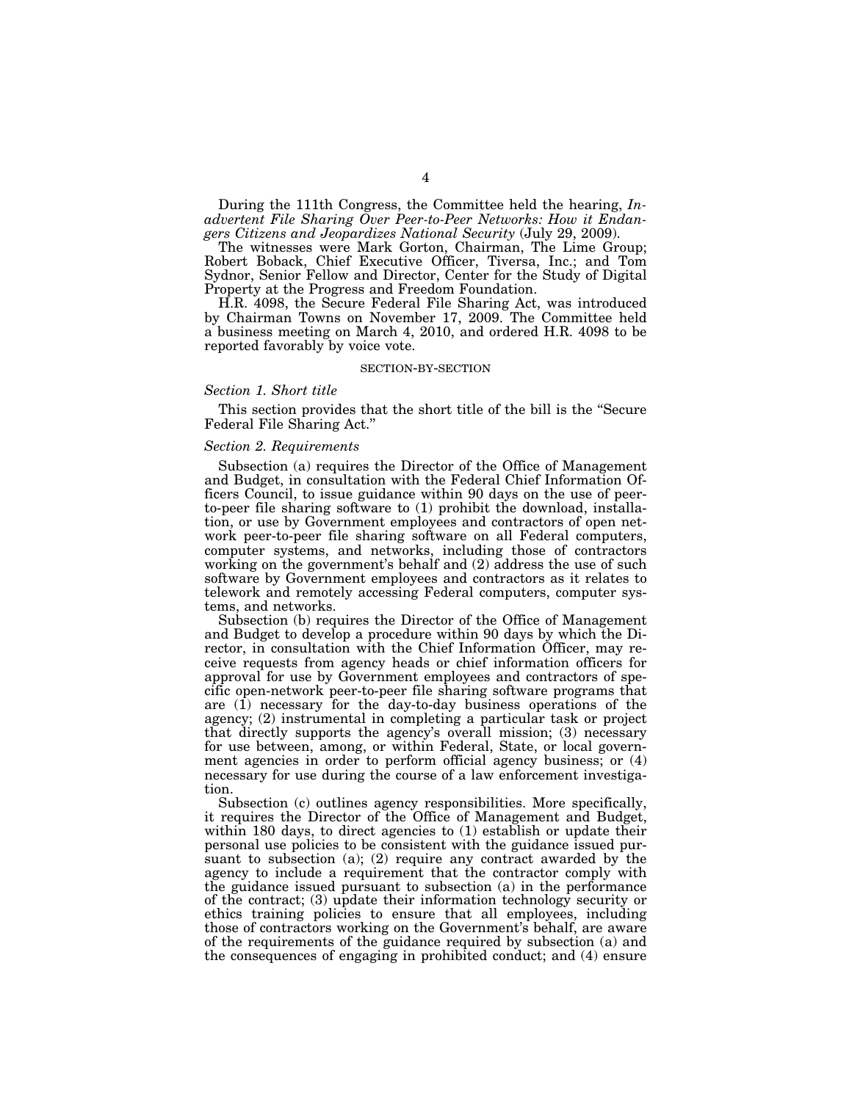During the 111th Congress, the Committee held the hearing, *Inadvertent File Sharing Over Peer-to-Peer Networks: How it Endangers Citizens and Jeopardizes National Security* (July 29, 2009).

The witnesses were Mark Gorton, Chairman, The Lime Group; Robert Boback, Chief Executive Officer, Tiversa, Inc.; and Tom Sydnor, Senior Fellow and Director, Center for the Study of Digital Property at the Progress and Freedom Foundation.

H.R. 4098, the Secure Federal File Sharing Act, was introduced by Chairman Towns on November 17, 2009. The Committee held a business meeting on March 4, 2010, and ordered H.R. 4098 to be reported favorably by voice vote.

#### SECTION-BY-SECTION

### *Section 1. Short title*

This section provides that the short title of the bill is the ''Secure Federal File Sharing Act.''

#### *Section 2. Requirements*

Subsection (a) requires the Director of the Office of Management and Budget, in consultation with the Federal Chief Information Officers Council, to issue guidance within 90 days on the use of peerto-peer file sharing software to (1) prohibit the download, installation, or use by Government employees and contractors of open network peer-to-peer file sharing software on all Federal computers, computer systems, and networks, including those of contractors working on the government's behalf and (2) address the use of such software by Government employees and contractors as it relates to telework and remotely accessing Federal computers, computer systems, and networks.

Subsection (b) requires the Director of the Office of Management and Budget to develop a procedure within 90 days by which the Director, in consultation with the Chief Information Officer, may receive requests from agency heads or chief information officers for approval for use by Government employees and contractors of specific open-network peer-to-peer file sharing software programs that are  $(1)$  necessary for the day-to-day business operations of the agency; (2) instrumental in completing a particular task or project that directly supports the agency's overall mission; (3) necessary for use between, among, or within Federal, State, or local government agencies in order to perform official agency business; or (4) necessary for use during the course of a law enforcement investigation.

Subsection (c) outlines agency responsibilities. More specifically, it requires the Director of the Office of Management and Budget, within 180 days, to direct agencies to (1) establish or update their personal use policies to be consistent with the guidance issued pursuant to subsection (a); (2) require any contract awarded by the agency to include a requirement that the contractor comply with the guidance issued pursuant to subsection (a) in the performance of the contract; (3) update their information technology security or ethics training policies to ensure that all employees, including those of contractors working on the Government's behalf, are aware of the requirements of the guidance required by subsection (a) and the consequences of engaging in prohibited conduct; and (4) ensure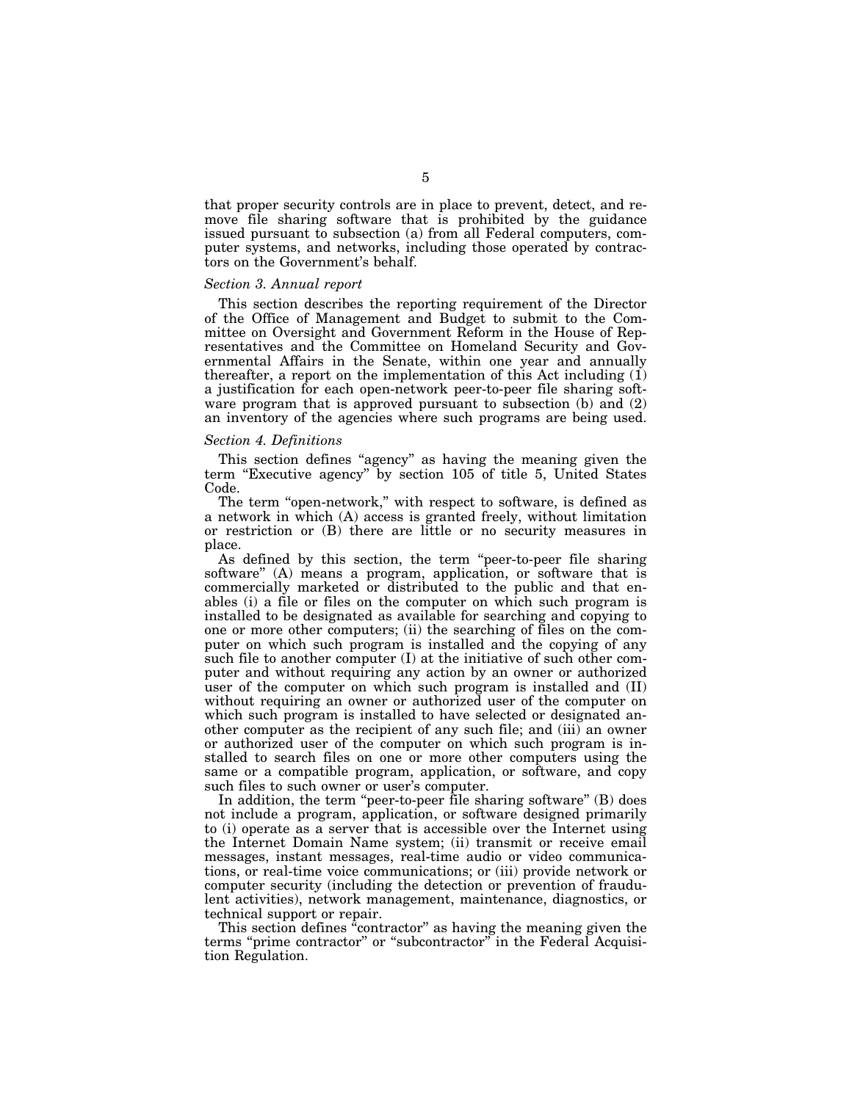that proper security controls are in place to prevent, detect, and remove file sharing software that is prohibited by the guidance issued pursuant to subsection (a) from all Federal computers, computer systems, and networks, including those operated by contractors on the Government's behalf.

#### *Section 3. Annual report*

This section describes the reporting requirement of the Director of the Office of Management and Budget to submit to the Committee on Oversight and Government Reform in the House of Representatives and the Committee on Homeland Security and Governmental Affairs in the Senate, within one year and annually thereafter, a report on the implementation of this Act including  $(1)$ a justification for each open-network peer-to-peer file sharing software program that is approved pursuant to subsection (b) and (2) an inventory of the agencies where such programs are being used.

#### *Section 4. Definitions*

This section defines "agency" as having the meaning given the term "Executive agency" by section 105 of title 5, United States Code.

The term "open-network," with respect to software, is defined as a network in which (A) access is granted freely, without limitation or restriction or (B) there are little or no security measures in place.

As defined by this section, the term ''peer-to-peer file sharing software'' (A) means a program, application, or software that is commercially marketed or distributed to the public and that enables (i) a file or files on the computer on which such program is installed to be designated as available for searching and copying to one or more other computers; (ii) the searching of files on the computer on which such program is installed and the copying of any such file to another computer (I) at the initiative of such other computer and without requiring any action by an owner or authorized user of the computer on which such program is installed and (II) without requiring an owner or authorized user of the computer on which such program is installed to have selected or designated another computer as the recipient of any such file; and (iii) an owner or authorized user of the computer on which such program is installed to search files on one or more other computers using the same or a compatible program, application, or software, and copy such files to such owner or user's computer.

In addition, the term "peer-to-peer file sharing software" (B) does not include a program, application, or software designed primarily to (i) operate as a server that is accessible over the Internet using the Internet Domain Name system; (ii) transmit or receive email messages, instant messages, real-time audio or video communications, or real-time voice communications; or (iii) provide network or computer security (including the detection or prevention of fraudulent activities), network management, maintenance, diagnostics, or technical support or repair.

This section defines "contractor" as having the meaning given the terms ''prime contractor'' or ''subcontractor'' in the Federal Acquisition Regulation.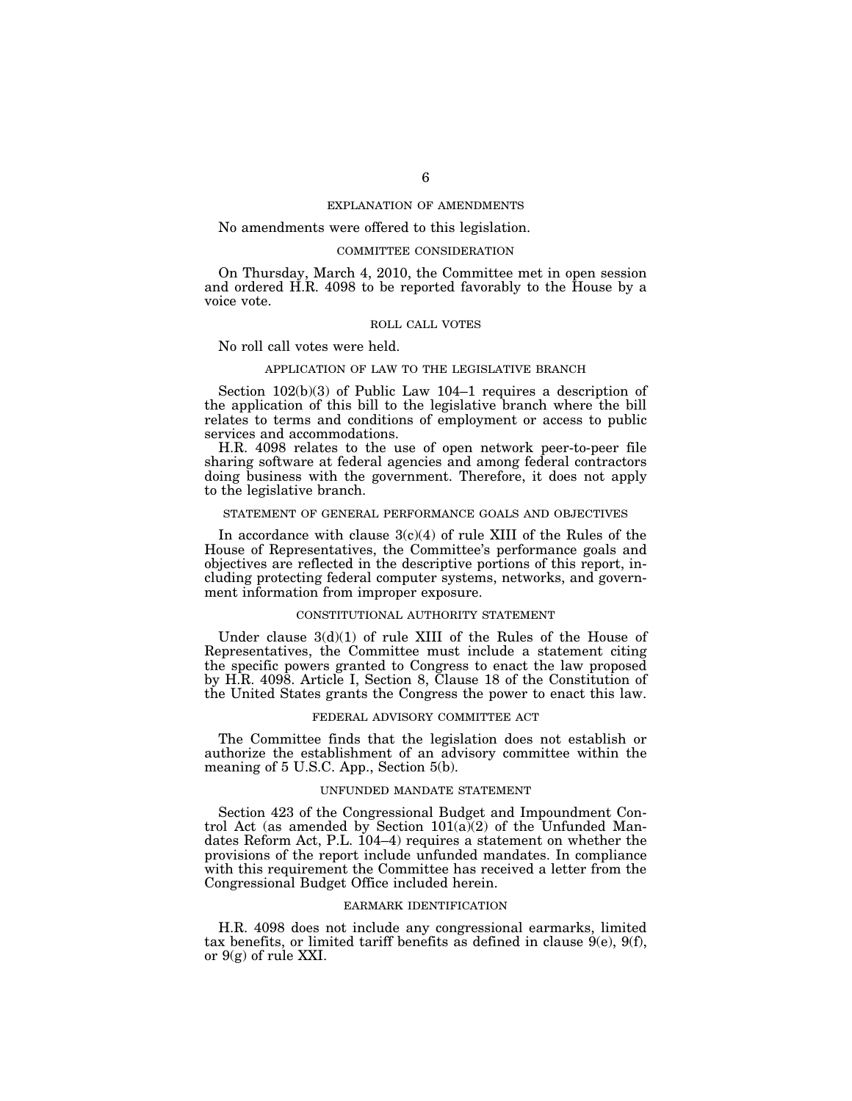## EXPLANATION OF AMENDMENTS

## No amendments were offered to this legislation.

#### COMMITTEE CONSIDERATION

On Thursday, March 4, 2010, the Committee met in open session and ordered H.R. 4098 to be reported favorably to the House by a voice vote.

#### ROLL CALL VOTES

No roll call votes were held.

## APPLICATION OF LAW TO THE LEGISLATIVE BRANCH

Section 102(b)(3) of Public Law 104–1 requires a description of the application of this bill to the legislative branch where the bill relates to terms and conditions of employment or access to public services and accommodations.

H.R. 4098 relates to the use of open network peer-to-peer file sharing software at federal agencies and among federal contractors doing business with the government. Therefore, it does not apply to the legislative branch.

## STATEMENT OF GENERAL PERFORMANCE GOALS AND OBJECTIVES

In accordance with clause  $3(c)(4)$  of rule XIII of the Rules of the House of Representatives, the Committee's performance goals and objectives are reflected in the descriptive portions of this report, including protecting federal computer systems, networks, and government information from improper exposure.

#### CONSTITUTIONAL AUTHORITY STATEMENT

Under clause  $3(d)(1)$  of rule XIII of the Rules of the House of Representatives, the Committee must include a statement citing the specific powers granted to Congress to enact the law proposed by H.R. 4098. Article I, Section 8, Clause 18 of the Constitution of the United States grants the Congress the power to enact this law.

#### FEDERAL ADVISORY COMMITTEE ACT

The Committee finds that the legislation does not establish or authorize the establishment of an advisory committee within the meaning of 5 U.S.C. App., Section 5(b).

#### UNFUNDED MANDATE STATEMENT

Section 423 of the Congressional Budget and Impoundment Control Act (as amended by Section  $101(a)(2)$  of the Unfunded Mandates Reform Act, P.L. 104–4) requires a statement on whether the provisions of the report include unfunded mandates. In compliance with this requirement the Committee has received a letter from the Congressional Budget Office included herein.

#### EARMARK IDENTIFICATION

H.R. 4098 does not include any congressional earmarks, limited tax benefits, or limited tariff benefits as defined in clause  $9(e)$ ,  $9(f)$ , or  $9(g)$  of rule XXI.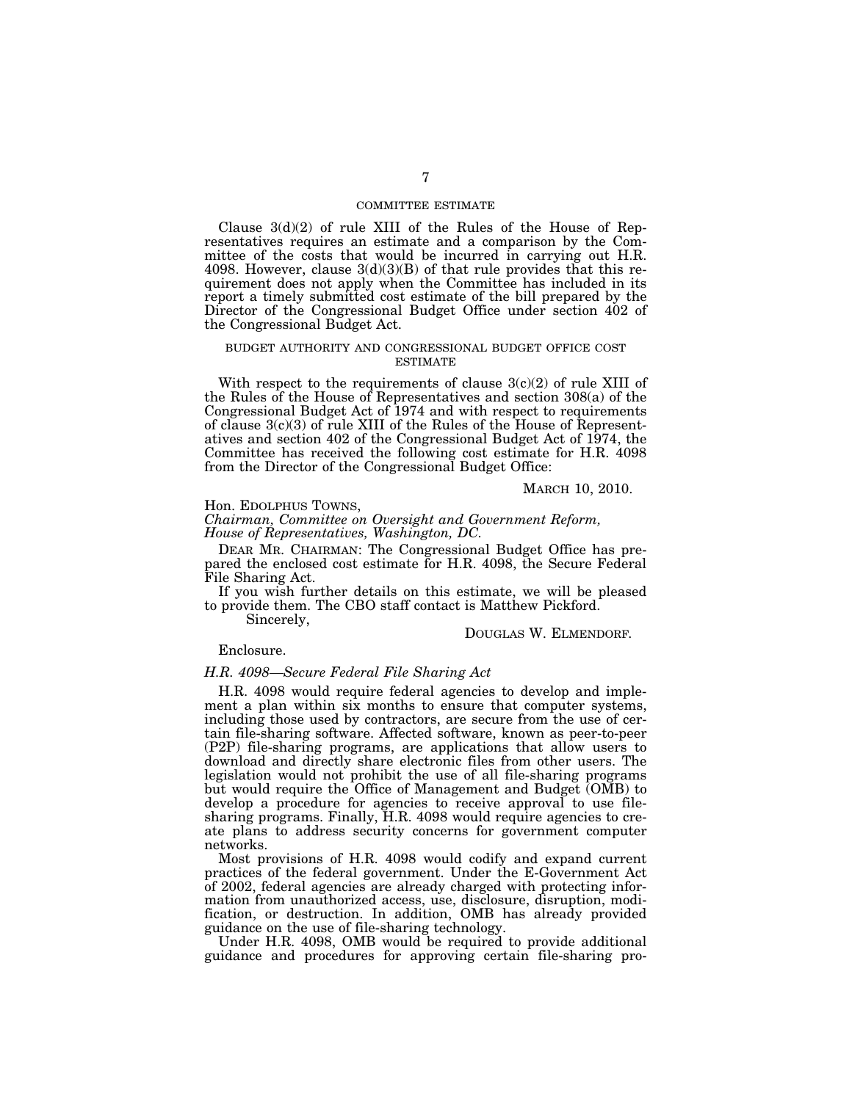## COMMITTEE ESTIMATE

Clause  $3(d)(2)$  of rule XIII of the Rules of the House of Representatives requires an estimate and a comparison by the Committee of the costs that would be incurred in carrying out H.R. 4098. However, clause  $3(d)(3)(B)$  of that rule provides that this requirement does not apply when the Committee has included in its report a timely submitted cost estimate of the bill prepared by the Director of the Congressional Budget Office under section 402 of the Congressional Budget Act.

#### BUDGET AUTHORITY AND CONGRESSIONAL BUDGET OFFICE COST ESTIMATE

With respect to the requirements of clause  $3(c)(2)$  of rule XIII of the Rules of the House of Representatives and section 308(a) of the Congressional Budget Act of 1974 and with respect to requirements of clause 3(c)(3) of rule XIII of the Rules of the House of Representatives and section 402 of the Congressional Budget Act of 1974, the Committee has received the following cost estimate for H.R. 4098 from the Director of the Congressional Budget Office:

MARCH 10, 2010.

## Hon. EDOLPHUS TOWNS,

*Chairman, Committee on Oversight and Government Reform, House of Representatives, Washington, DC.* 

DEAR MR. CHAIRMAN: The Congressional Budget Office has prepared the enclosed cost estimate for H.R. 4098, the Secure Federal File Sharing Act.

If you wish further details on this estimate, we will be pleased to provide them. The CBO staff contact is Matthew Pickford.

Sincerely,

#### DOUGLAS W. ELMENDORF*.*

## Enclosure.

## *H.R. 4098—Secure Federal File Sharing Act*

H.R. 4098 would require federal agencies to develop and implement a plan within six months to ensure that computer systems, including those used by contractors, are secure from the use of certain file-sharing software. Affected software, known as peer-to-peer (P2P) file-sharing programs, are applications that allow users to download and directly share electronic files from other users. The legislation would not prohibit the use of all file-sharing programs but would require the Office of Management and Budget (OMB) to develop a procedure for agencies to receive approval to use filesharing programs. Finally, H.R. 4098 would require agencies to create plans to address security concerns for government computer networks.

Most provisions of H.R. 4098 would codify and expand current practices of the federal government. Under the E-Government Act of 2002, federal agencies are already charged with protecting information from unauthorized access, use, disclosure, disruption, modification, or destruction. In addition, OMB has already provided guidance on the use of file-sharing technology.

Under H.R. 4098, OMB would be required to provide additional guidance and procedures for approving certain file-sharing pro